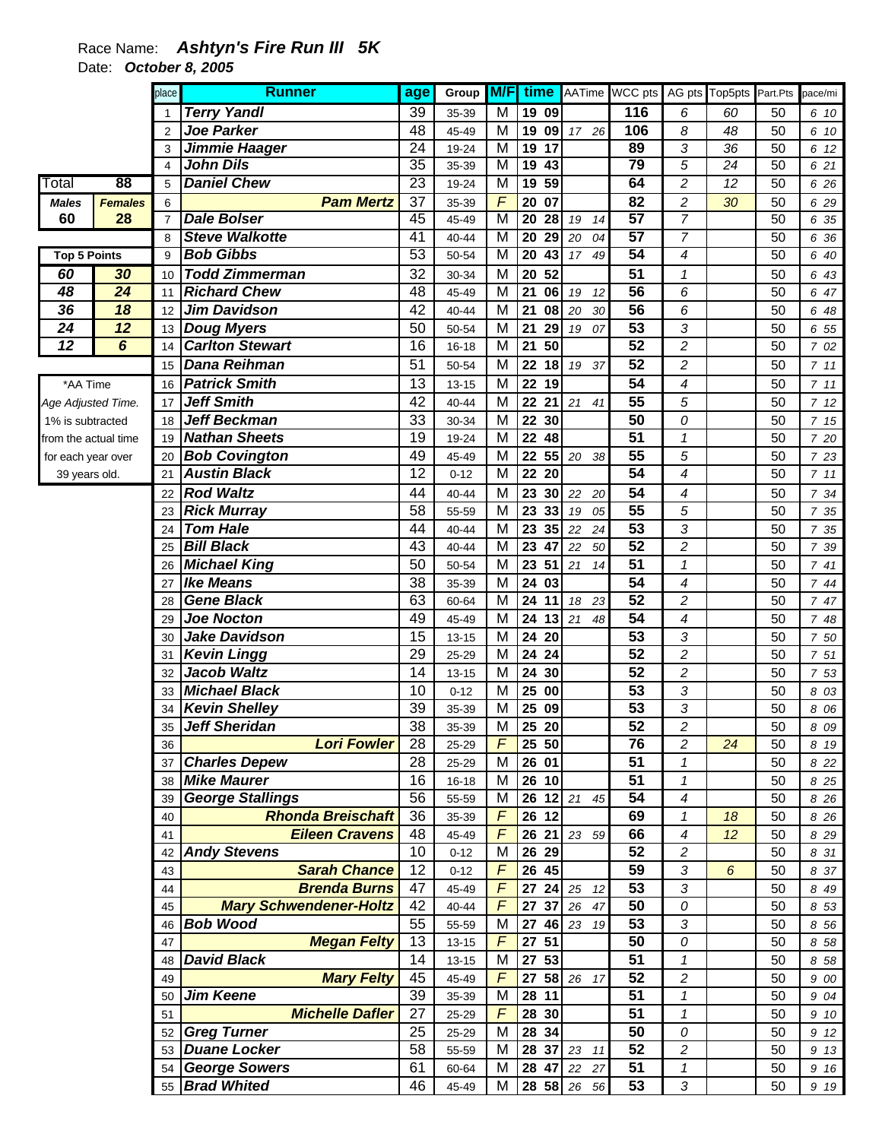## Race Name: *Ashtyn's Fire Run III 5K*  Date: *October 8, 2005*

|                      |                 | place           | <b>Runner</b>                              | age                   | Group          | <b>M/F</b>          |                                    |             | time AATime WCC pts   |                                | AG pts Top5pts Part.Pts |                 | pace/mi      |
|----------------------|-----------------|-----------------|--------------------------------------------|-----------------------|----------------|---------------------|------------------------------------|-------------|-----------------------|--------------------------------|-------------------------|-----------------|--------------|
|                      |                 | $\mathbf 1$     | <b>Terry Yandl</b>                         | 39                    | 35-39          | M                   | 19 09                              |             | 116                   | 6                              | 60                      | 50              | 6 10         |
|                      |                 | 2               | <b>Joe Parker</b>                          | 48                    | 45-49          | M                   | 19                                 | 09 17 26    | 106                   | 8                              | 48                      | 50              | 6 10         |
|                      |                 | 3               | Jimmie Haager                              | 24                    | 19-24          | M                   | 19<br>17                           |             | 89                    | 3                              | 36                      | 50              | 6 12         |
|                      |                 | 4               | <b>John Dils</b>                           | $\overline{35}$       | 35-39          | $\overline{M}$      | 19<br>43                           |             | 79                    | 5                              | $\overline{24}$         | 50              | 6 21         |
| Total                | 88              | 5               | <b>Daniel Chew</b>                         | 23                    | 19-24          | M                   | 59<br>19                           |             | 64                    | $\overline{2}$                 | $\overline{12}$         | $\overline{50}$ | 6 26         |
| <b>Males</b>         | <b>Females</b>  | 6               | <b>Pam Mertz</b>                           | 37                    | 35-39          | $\overline{F}$      | 20<br>07                           |             | 82                    | $\overline{c}$                 | 30                      | 50              | 6 29         |
| 60                   | 28              | $\overline{7}$  | <b>Dale Bolser</b>                         | 45                    | 45-49          | M                   | $\overline{20}$<br>$\overline{28}$ | 19<br>14    | 57                    | $\overline{7}$                 |                         | 50              | 6 35         |
|                      |                 | 8               | <b>Steve Walkotte</b>                      | $\overline{41}$       | 40-44          | M                   | $\overline{20}$<br>29              | 20<br>04    | 57                    | $\overline{7}$                 |                         | 50              | 6 36         |
| <b>Top 5 Points</b>  |                 | 9               | <b>Bob Gibbs</b>                           | 53                    | 50-54          | M                   | 20<br>43                           | 17<br>49    | 54                    | 4                              |                         | $\overline{50}$ | 6 40         |
| 60                   | 30              | 10              | <b>Todd Zimmerman</b>                      | 32                    | 30-34          | M                   | 20<br>52                           |             | $\overline{51}$       | 1                              |                         | 50              | 6 43         |
| 48                   | $\overline{24}$ | 11              | <b>Richard Chew</b>                        | 48                    | 45-49          | M                   | 21<br>06                           | 19<br>12    | $\overline{56}$       | 6                              |                         | 50              | 6 47         |
| 36                   | 18              | 12              | Jim Davidson                               | 42                    | 40-44          | M                   | 21<br>08                           | 20<br>30    | $\overline{56}$       | 6                              |                         | 50              | 6 48         |
| 24                   | 12              | 13              | <b>Doug Myers</b>                          | 50                    | 50-54          | M                   | 21<br>29                           | 19<br>07    | 53                    | 3                              |                         | 50              | 6 55         |
| 12                   | 6               | 14              | <b>Carlton Stewart</b>                     | 16                    | $16 - 18$      | M                   | 21<br>50                           |             | 52                    | $\overline{c}$                 |                         | 50              | 7 02         |
|                      |                 | 15              | <b>Dana Reihman</b>                        | 51                    | 50-54          | M                   | 22<br>18                           | 19<br>37    | $\overline{52}$       | $\overline{c}$                 |                         | 50              | 711          |
| *AA Time             |                 | 16              | <b>Patrick Smith</b>                       | 13                    | $13 - 15$      | M                   | 22<br>19                           |             | 54                    | 4                              |                         | 50              | 711          |
| Age Adjusted Time.   |                 | 17              | <b>Jeff Smith</b>                          | 42                    | 40-44          | M                   | 22<br>21                           | 21<br>41    | $\overline{55}$       | 5                              |                         | 50              | 712          |
| 1% is subtracted     |                 | 18              | <b>Jeff Beckman</b>                        | 33                    | 30-34          | M                   | $\overline{22}$<br>30              |             | $\overline{50}$       | 0                              |                         | 50              | 715          |
| from the actual time |                 | 19              | <b>Nathan Sheets</b>                       | 19                    | 19-24          | M                   | 22<br>48                           |             | $\overline{51}$       | $\mathcal I$                   |                         | 50              | 7 20         |
| for each year over   |                 | 20              | <b>Bob Covington</b>                       | 49                    | 45-49          | M                   | 22                                 | 55 20 38    | $\overline{55}$<br>54 | 5                              |                         | 50              | 7 23         |
| 39 years old.        |                 | 21              | <b>Austin Black</b>                        | $\overline{12}$       | $0 - 12$       | M                   | 22<br>20                           |             |                       | 4                              |                         | 50              | 711          |
|                      |                 | 22              | <b>Rod Waltz</b>                           | 44                    | 40-44          | M                   | 23<br>30                           | 22<br>20    | 54                    | 4                              |                         | 50              | 7 34         |
|                      |                 | 23              | <b>Rick Murray</b>                         | 58                    | 55-59          | M                   | 23<br>33                           | 19<br>05    | 55                    | 5                              |                         | 50              | 7 35         |
|                      |                 | 24              | <b>Tom Hale</b>                            | 44                    | 40-44          | M                   | 23<br>35                           | 22<br>24    | 53<br>$\overline{52}$ | 3                              |                         | 50              | 7 35         |
|                      |                 | 25              | <b>Bill Black</b><br><b>Michael King</b>   | 43<br>50              | 40-44          | M<br>M              | 23<br>47<br>23<br>51               | 22<br>50    | $\overline{51}$       | $\overline{c}$<br>$\mathbf{1}$ |                         | 50<br>50        | 7 39         |
|                      |                 | 26              | <b>Ike Means</b>                           | 38                    | 50-54          | M                   | 24<br>03                           | 21<br>14    | 54                    | 4                              |                         | 50              | 741<br>744   |
|                      |                 | 27<br>28        | <b>Gene Black</b>                          | 63                    | 35-39<br>60-64 | M                   | 24<br>11                           | 18<br>23    | $\overline{52}$       | $\overline{c}$                 |                         | 50              | 7 47         |
|                      |                 | 29              | <b>Joe Nocton</b>                          | 49                    | 45-49          | M                   | $\overline{24}$<br>13              | 21<br>48    | $\overline{54}$       | $\overline{\mathcal{A}}$       |                         | 50              | 7 48         |
|                      |                 | 30              | <b>Jake Davidson</b>                       | 15                    | 13-15          | M                   | 24<br>20                           |             | $\overline{53}$       | 3                              |                         | 50              | 7 50         |
|                      |                 | 31              | <b>Kevin Lingg</b>                         | 29                    | 25-29          | M                   | 24<br>24                           |             | $\overline{52}$       | $\overline{c}$                 |                         | 50              | 7 51         |
|                      |                 | 32              | Jacob Waltz                                | 14                    | 13-15          | M                   | 24<br>30                           |             | $\overline{52}$       | $\overline{c}$                 |                         | 50              | 7 53         |
|                      |                 | 33              | <b>Michael Black</b>                       | 10                    | $0 - 12$       | M                   | 25<br>00                           |             | $\overline{53}$       | 3                              |                         | 50              | 8 0 3        |
|                      |                 | 34              | <b>Kevin Shelley</b>                       | 39                    | 35-39          | M                   | 25<br>09                           |             | 53                    | 3                              |                         | 50              | 8 0 6        |
|                      |                 | 35              | Jeff Sheridan                              | $\overline{38}$       | 35-39          | M                   | $\overline{25}$<br>20              |             | 52                    | $\overline{2}$                 |                         | 50              | 8 0 9        |
|                      |                 | 36              | <b>Lori Fowler</b>                         | 28                    | 25-29          | F                   | 25 50                              |             | 76                    | $\overline{c}$                 | 24                      | 50              | 8 19         |
|                      |                 | 37 <sup>1</sup> | <b>Charles Depew</b>                       | 28                    | 25-29          | M                   | 26 01                              |             | 51                    | $\mathcal I$                   |                         | 50              | 8 2 2        |
|                      |                 | 38              | <b>Mike Maurer</b>                         | 16                    | 16-18          | M                   | 26 10                              |             | $\overline{51}$       | $\mathbf{1}$                   |                         | 50              | 8 2 5        |
|                      |                 | 39              | <b>George Stallings</b>                    | 56                    | 55-59          | M                   |                                    | 26 12 21 45 | 54                    | 4                              |                         | 50              | 8 2 6        |
|                      |                 | 40              | <b>Rhonda Breischaft</b>                   | 36                    | 35-39          | $\overline{F}$      | 26 12                              |             | 69                    | 1                              | 18                      | 50              | 8 2 6        |
|                      |                 | 41              | <b>Eileen Cravens</b>                      | 48                    | 45-49          | F                   | 26 21                              | 23 59       | 66                    | 4                              | 12                      | 50              | 8 2 9        |
|                      |                 | 42              | <b>Andy Stevens</b>                        | 10                    | $0 - 12$       | M                   | 26 29                              |             | 52                    | $\overline{c}$                 |                         | 50              | 8 31         |
|                      |                 | 43              | <b>Sarah Chance</b>                        | 12                    | $0 - 12$       | F                   | 26 45                              |             | 59                    | 3                              | 6                       | 50              | 8 37         |
|                      |                 | 44              | <b>Brenda Burns</b>                        | 47                    | 45-49          | F                   | 27                                 | 24 25 12    | 53                    | 3                              |                         | 50              | 8 4 9        |
|                      |                 | 45              | <b>Mary Schwendener-Holtz</b>              | 42                    | 40-44          | F                   | 27<br>37                           | 26<br>47    | 50                    | 0                              |                         | 50              | 8 53         |
|                      |                 | 46              | <b>Bob Wood</b>                            | 55                    | 55-59          | M                   | 27                                 | 46 23 19    | 53                    | 3                              |                         | 50              | 8 56         |
|                      |                 | 47              | <b>Megan Felty</b>                         | 13                    | $13 - 15$      | F                   | 27<br>51                           |             | 50                    | 0                              |                         | 50              | 8 58         |
|                      |                 | 48              | <b>David Black</b>                         | 14                    | $13 - 15$      | M                   | 27<br>53                           |             | 51                    | 1                              |                         | 50              | 8 58         |
|                      |                 | 49              | <b>Mary Felty</b>                          | 45                    | 45-49          | $\overline{F}$      | 27                                 | 58 26 17    | 52                    | $\overline{c}$                 |                         | 50              | 9 00         |
|                      |                 | 50              | <b>Jim Keene</b><br><b>Michelle Dafler</b> | 39<br>$\overline{27}$ | 35-39          | M<br>$\overline{F}$ | 28<br>11                           |             | 51<br>$\overline{51}$ | 1                              |                         | 50              | 9 04         |
|                      |                 | 51              | <b>Greg Turner</b>                         | 25                    | 25-29          | M                   | 28 30<br>28 34                     |             | 50                    | $\mathbf{1}$<br>0              |                         | 50<br>50        | 9 10         |
|                      |                 | 52<br>53        | <b>Duane Locker</b>                        | 58                    | 25-29<br>55-59 | M                   | 28 37                              | 23 11       | 52                    | $\overline{c}$                 |                         | 50              | 9 12         |
|                      |                 | 54              | <b>George Sowers</b>                       | 61                    | 60-64          | M                   | 28<br>47                           | 22 27       | $\overline{51}$       | $\mathbf{1}$                   |                         | 50              | 9 13<br>9 16 |
|                      |                 |                 | 55 Brad Whited                             | 46                    | 45-49          | м                   |                                    | 28 58 26 56 | 53                    | 3                              |                         | 50              | 9 19         |
|                      |                 |                 |                                            |                       |                |                     |                                    |             |                       |                                |                         |                 |              |